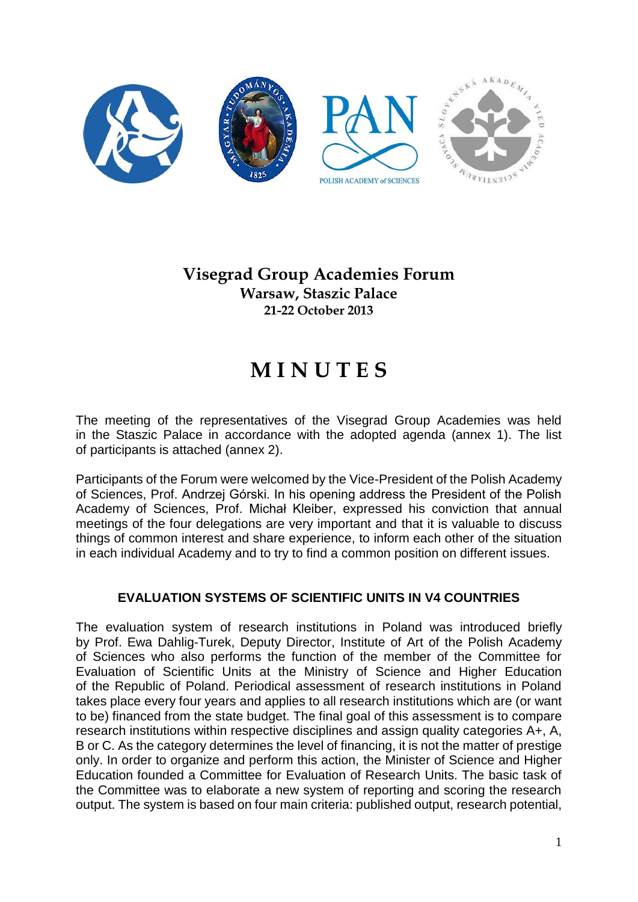

# **Visegrad Group Academies Forum Warsaw, Staszic Palace 21-22 October 2013**

# **M I N U T E S**

The meeting of the representatives of the Visegrad Group Academies was held in the Staszic Palace in accordance with the adopted agenda (annex 1). The list of participants is attached (annex 2).

Participants of the Forum were welcomed by the Vice-President of the Polish Academy of Sciences, Prof. Andrzej Górski. In his opening address the President of the Polish Academy of Sciences, Prof. Michał Kleiber, expressed his conviction that annual meetings of the four delegations are very important and that it is valuable to discuss things of common interest and share experience, to inform each other of the situation in each individual Academy and to try to find a common position on different issues.

# **EVALUATION SYSTEMS OF SCIENTIFIC UNITS IN V4 COUNTRIES**

The evaluation system of research institutions in Poland was introduced briefly by Prof. Ewa Dahlig-Turek, Deputy Director, Institute of Art of the Polish Academy of Sciences who also performs the function of the member of the Committee for Evaluation of Scientific Units at the Ministry of Science and Higher Education of the Republic of Poland. Periodical assessment of research institutions in Poland takes place every four years and applies to all research institutions which are (or want to be) financed from the state budget. The final goal of this assessment is to compare research institutions within respective disciplines and assign quality categories A+, A, B or C. As the category determines the level of financing, it is not the matter of prestige only. In order to organize and perform this action, the Minister of Science and Higher Education founded a Committee for Evaluation of Research Units. The basic task of the Committee was to elaborate a new system of reporting and scoring the research output. The system is based on four main criteria: published output, research potential,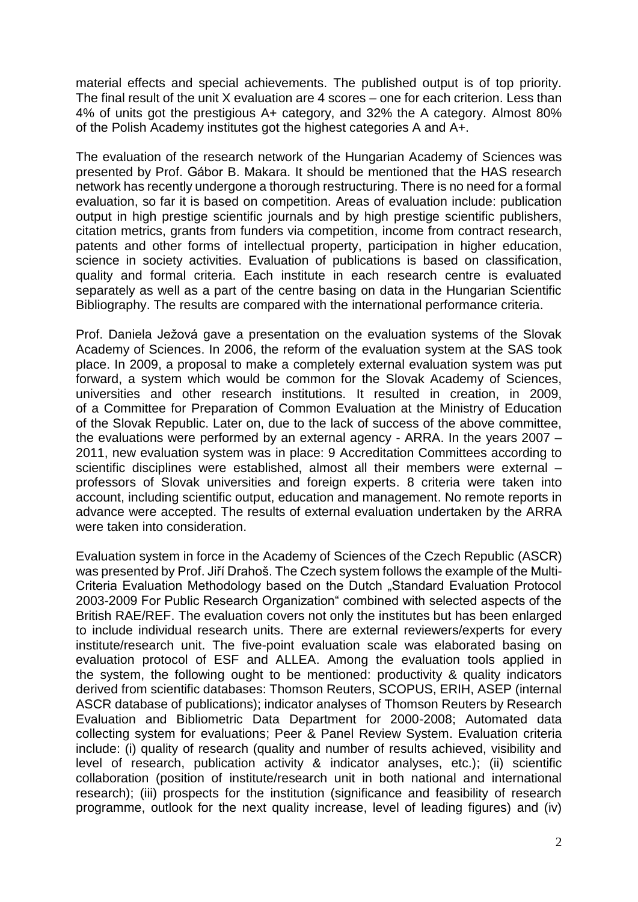material effects and special achievements. The published output is of top priority. The final result of the unit X evaluation are 4 scores – one for each criterion. Less than 4% of units got the prestigious A+ category, and 32% the A category. Almost 80% of the Polish Academy institutes got the highest categories A and A+.

The evaluation of the research network of the Hungarian Academy of Sciences was presented by Prof. Gábor B. Makara. It should be mentioned that the HAS research network has recently undergone a thorough restructuring. There is no need for a formal evaluation, so far it is based on competition. Areas of evaluation include: publication output in high prestige scientific journals and by high prestige scientific publishers, citation metrics, grants from funders via competition, income from contract research, patents and other forms of intellectual property, participation in higher education, science in society activities. Evaluation of publications is based on classification, quality and formal criteria. Each institute in each research centre is evaluated separately as well as a part of the centre basing on data in the Hungarian Scientific Bibliography. The results are compared with the international performance criteria.

Prof. Daniela Ježová gave a presentation on the evaluation systems of the Slovak Academy of Sciences. In 2006, the reform of the evaluation system at the SAS took place. In 2009, a proposal to make a completely external evaluation system was put forward, a system which would be common for the Slovak Academy of Sciences, universities and other research institutions. It resulted in creation, in 2009, of a Committee for Preparation of Common Evaluation at the Ministry of Education of the Slovak Republic. Later on, due to the lack of success of the above committee, the evaluations were performed by an external agency - ARRA. In the years 2007 – 2011, new evaluation system was in place: 9 Accreditation Committees according to scientific disciplines were established, almost all their members were external – professors of Slovak universities and foreign experts. 8 criteria were taken into account, including scientific output, education and management. No remote reports in advance were accepted. The results of external evaluation undertaken by the ARRA were taken into consideration

Evaluation system in force in the Academy of Sciences of the Czech Republic (ASCR) was presented by Prof. Jiří Drahoš. The Czech system follows the example of the Multi-Criteria Evaluation Methodology based on the Dutch "Standard Evaluation Protocol 2003-2009 For Public Research Organization" combined with selected aspects of the British RAE/REF. The evaluation covers not only the institutes but has been enlarged to include individual research units. There are external reviewers/experts for every institute/research unit. The five-point evaluation scale was elaborated basing on evaluation protocol of ESF and ALLEA. Among the evaluation tools applied in the system, the following ought to be mentioned: productivity & quality indicators derived from scientific databases: Thomson Reuters, SCOPUS, ERIH, ASEP (internal ASCR database of publications); indicator analyses of Thomson Reuters by Research Evaluation and Bibliometric Data Department for 2000-2008; Automated data collecting system for evaluations; Peer & Panel Review System. Evaluation criteria include: (i) quality of research (quality and number of results achieved, visibility and level of research, publication activity & indicator analyses, etc.); (ii) scientific collaboration (position of institute/research unit in both national and international research); (iii) prospects for the institution (significance and feasibility of research programme, outlook for the next quality increase, level of leading figures) and (iv)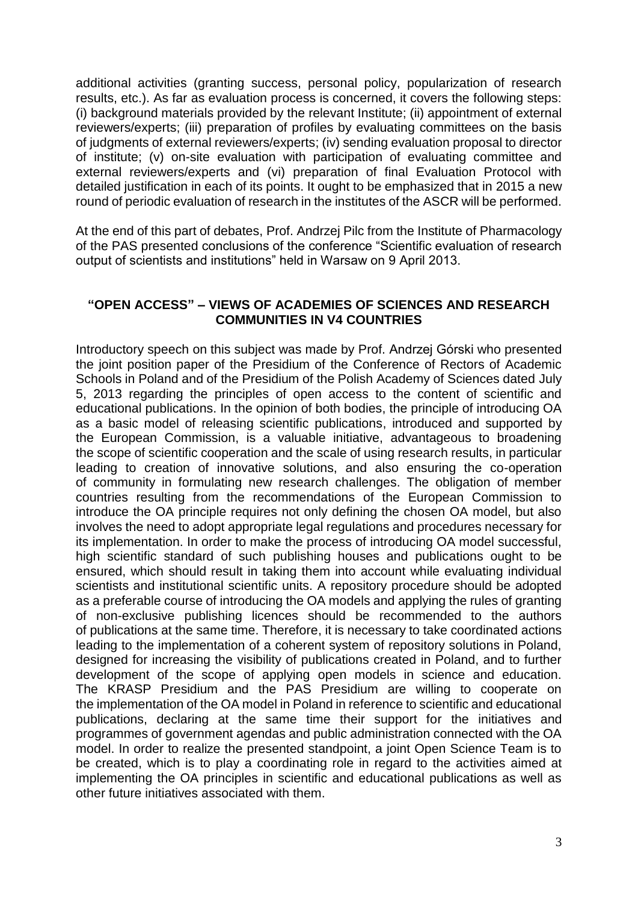additional activities (granting success, personal policy, popularization of research results, etc.). As far as evaluation process is concerned, it covers the following steps: (i) background materials provided by the relevant Institute; (ii) appointment of external reviewers/experts; (iii) preparation of profiles by evaluating committees on the basis of judgments of external reviewers/experts; (iv) sending evaluation proposal to director of institute; (v) on-site evaluation with participation of evaluating committee and external reviewers/experts and (vi) preparation of final Evaluation Protocol with detailed justification in each of its points. It ought to be emphasized that in 2015 a new round of periodic evaluation of research in the institutes of the ASCR will be performed.

At the end of this part of debates, Prof. Andrzej Pilc from the Institute of Pharmacology of the PAS presented conclusions of the conference "Scientific evaluation of research output of scientists and institutions" held in Warsaw on 9 April 2013.

#### **"OPEN ACCESS" – VIEWS OF ACADEMIES OF SCIENCES AND RESEARCH COMMUNITIES IN V4 COUNTRIES**

Introductory speech on this subject was made by Prof. Andrzej Górski who presented the joint position paper of the Presidium of the Conference of Rectors of Academic Schools in Poland and of the Presidium of the Polish Academy of Sciences dated July 5, 2013 regarding the principles of open access to the content of scientific and educational publications. In the opinion of both bodies, the principle of introducing OA as a basic model of releasing scientific publications, introduced and supported by the European Commission, is a valuable initiative, advantageous to broadening the scope of scientific cooperation and the scale of using research results, in particular leading to creation of innovative solutions, and also ensuring the co-operation of community in formulating new research challenges. The obligation of member countries resulting from the recommendations of the European Commission to introduce the OA principle requires not only defining the chosen OA model, but also involves the need to adopt appropriate legal regulations and procedures necessary for its implementation. In order to make the process of introducing OA model successful, high scientific standard of such publishing houses and publications ought to be ensured, which should result in taking them into account while evaluating individual scientists and institutional scientific units. A repository procedure should be adopted as a preferable course of introducing the OA models and applying the rules of granting of non-exclusive publishing licences should be recommended to the authors of publications at the same time. Therefore, it is necessary to take coordinated actions leading to the implementation of a coherent system of repository solutions in Poland, designed for increasing the visibility of publications created in Poland, and to further development of the scope of applying open models in science and education. The KRASP Presidium and the PAS Presidium are willing to cooperate on the implementation of the OA model in Poland in reference to scientific and educational publications, declaring at the same time their support for the initiatives and programmes of government agendas and public administration connected with the OA model. In order to realize the presented standpoint, a joint Open Science Team is to be created, which is to play a coordinating role in regard to the activities aimed at implementing the OA principles in scientific and educational publications as well as other future initiatives associated with them.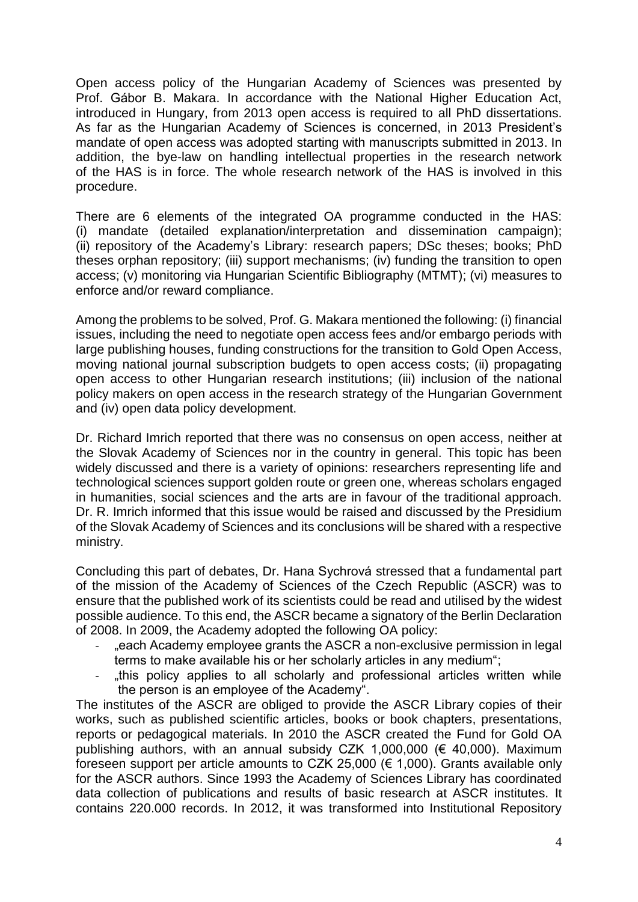Open access policy of the Hungarian Academy of Sciences was presented by Prof. Gábor B. Makara. In accordance with the National Higher Education Act, introduced in Hungary, from 2013 open access is required to all PhD dissertations. As far as the Hungarian Academy of Sciences is concerned, in 2013 President's mandate of open access was adopted starting with manuscripts submitted in 2013. In addition, the bye-law on handling intellectual properties in the research network of the HAS is in force. The whole research network of the HAS is involved in this procedure.

There are 6 elements of the integrated OA programme conducted in the HAS: (i) mandate (detailed explanation/interpretation and dissemination campaign); (ii) repository of the Academy's Library: research papers; DSc theses; books; PhD theses orphan repository; (iii) support mechanisms; (iv) funding the transition to open access; (v) monitoring via Hungarian Scientific Bibliography (MTMT); (vi) measures to enforce and/or reward compliance.

Among the problems to be solved, Prof. G. Makara mentioned the following: (i) financial issues, including the need to negotiate open access fees and/or embargo periods with large publishing houses, funding constructions for the transition to Gold Open Access, moving national journal subscription budgets to open access costs; (ii) propagating open access to other Hungarian research institutions; (iii) inclusion of the national policy makers on open access in the research strategy of the Hungarian Government and (iv) open data policy development.

Dr. Richard Imrich reported that there was no consensus on open access, neither at the Slovak Academy of Sciences nor in the country in general. This topic has been widely discussed and there is a variety of opinions: researchers representing life and technological sciences support golden route or green one, whereas scholars engaged in humanities, social sciences and the arts are in favour of the traditional approach. Dr. R. Imrich informed that this issue would be raised and discussed by the Presidium of the Slovak Academy of Sciences and its conclusions will be shared with a respective ministry.

Concluding this part of debates, Dr. Hana Sychrová stressed that a fundamental part of the mission of the Academy of Sciences of the Czech Republic (ASCR) was to ensure that the published work of its scientists could be read and utilised by the widest possible audience. To this end, the ASCR became a signatory of the Berlin Declaration of 2008. In 2009, the Academy adopted the following OA policy:

- .each Academy employee grants the ASCR a non-exclusive permission in legal terms to make available his or her scholarly articles in any medium";
- "this policy applies to all scholarly and professional articles written while the person is an employee of the Academy".

The institutes of the ASCR are obliged to provide the ASCR Library copies of their works, such as published scientific articles, books or book chapters, presentations, reports or pedagogical materials. In 2010 the ASCR created the Fund for Gold OA publishing authors, with an annual subsidy CZK 1,000,000 (€ 40,000). Maximum foreseen support per article amounts to CZK 25,000 (€ 1,000). Grants available only for the ASCR authors. Since 1993 the Academy of Sciences Library has coordinated data collection of publications and results of basic research at ASCR institutes. It contains 220.000 records. In 2012, it was transformed into Institutional Repository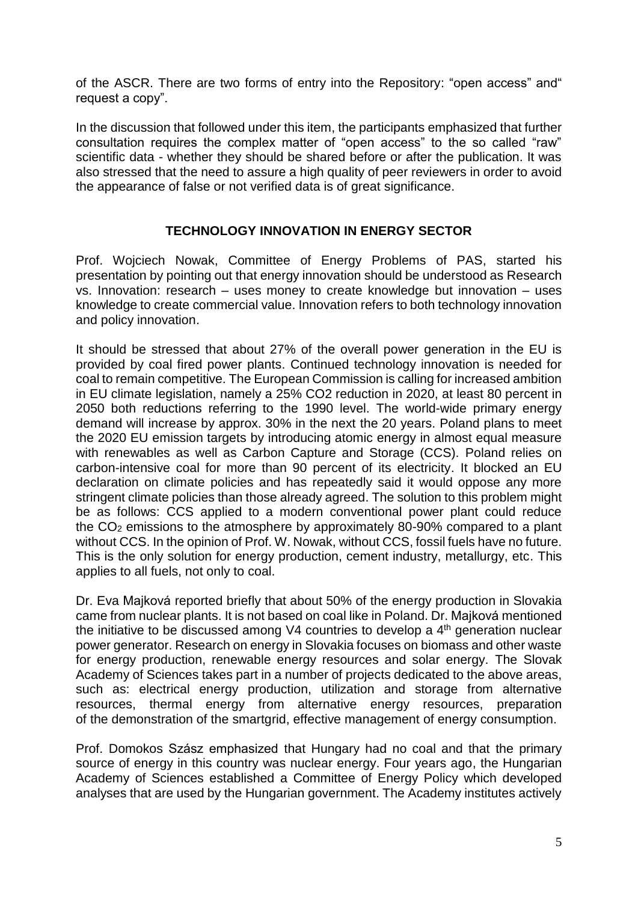of the ASCR. There are two forms of entry into the Repository: "open access" and" request a copy".

In the discussion that followed under this item, the participants emphasized that further consultation requires the complex matter of "open access" to the so called "raw" scientific data - whether they should be shared before or after the publication. It was also stressed that the need to assure a high quality of peer reviewers in order to avoid the appearance of false or not verified data is of great significance.

# **TECHNOLOGY INNOVATION IN ENERGY SECTOR**

Prof. Wojciech Nowak, Committee of Energy Problems of PAS, started his presentation by pointing out that energy innovation should be understood as Research vs. Innovation: research – uses money to create knowledge but innovation – uses knowledge to create commercial value. Innovation refers to both technology innovation and policy innovation.

It should be stressed that about 27% of the overall power generation in the EU is provided by coal fired power plants. Continued technology innovation is needed for coal to remain competitive. The European Commission is calling for increased ambition in EU climate legislation, namely a 25% CO2 reduction in 2020, at least 80 percent in 2050 both reductions referring to the 1990 level. The world-wide primary energy demand will increase by approx. 30% in the next the 20 years. Poland plans to meet the 2020 EU emission targets by introducing atomic energy in almost equal measure with renewables as well as Carbon Capture and Storage (CCS). Poland relies on carbon-intensive coal for more than 90 percent of its electricity. It blocked an EU declaration on climate policies and has repeatedly said it would oppose any more stringent climate policies than those already agreed. The solution to this problem might be as follows: CCS applied to a modern conventional power plant could reduce the CO<sup>2</sup> emissions to the atmosphere by approximately 80-90% compared to a plant without CCS. In the opinion of Prof. W. Nowak, without CCS, fossil fuels have no future. This is the only solution for energy production, cement industry, metallurgy, etc. This applies to all fuels, not only to coal.

Dr. Eva Majková reported briefly that about 50% of the energy production in Slovakia came from nuclear plants. It is not based on coal like in Poland. Dr. Majková mentioned the initiative to be discussed among V4 countries to develop a  $4<sup>th</sup>$  generation nuclear power generator. Research on energy in Slovakia focuses on biomass and other waste for energy production, renewable energy resources and solar energy. The Slovak Academy of Sciences takes part in a number of projects dedicated to the above areas, such as: electrical energy production, utilization and storage from alternative resources, thermal energy from alternative energy resources, preparation of the demonstration of the smartgrid, effective management of energy consumption.

Prof. Domokos Szász emphasized that Hungary had no coal and that the primary source of energy in this country was nuclear energy. Four years ago, the Hungarian Academy of Sciences established a Committee of Energy Policy which developed analyses that are used by the Hungarian government. The Academy institutes actively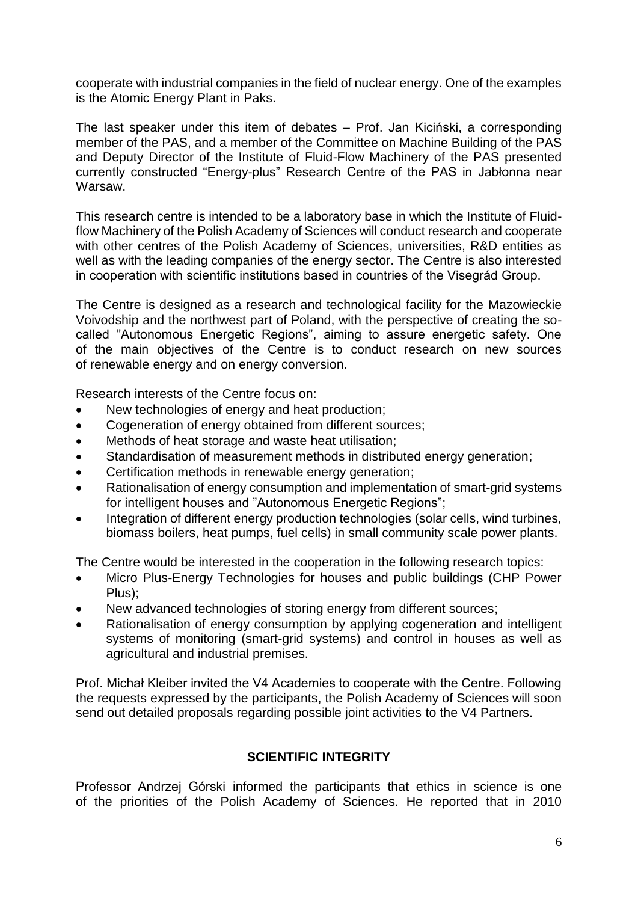cooperate with industrial companies in the field of nuclear energy. One of the examples is the Atomic Energy Plant in Paks.

The last speaker under this item of debates – Prof. Jan Kiciński, a corresponding member of the PAS, and a member of the Committee on Machine Building of the PAS and Deputy Director of the Institute of Fluid-Flow Machinery of the PAS presented currently constructed "Energy-plus" Research Centre of the PAS in Jabłonna near Warsaw.

This research centre is intended to be a laboratory base in which the Institute of Fluidflow Machinery of the Polish Academy of Sciences will conduct research and cooperate with other centres of the Polish Academy of Sciences, universities, R&D entities as well as with the leading companies of the energy sector. The Centre is also interested in cooperation with scientific institutions based in countries of the Visegrád Group.

The Centre is designed as a research and technological facility for the Mazowieckie Voivodship and the northwest part of Poland, with the perspective of creating the socalled "Autonomous Energetic Regions", aiming to assure energetic safety. One of the main objectives of the Centre is to conduct research on new sources of renewable energy and on energy conversion.

Research interests of the Centre focus on:

- New technologies of energy and heat production;
- Cogeneration of energy obtained from different sources;
- Methods of heat storage and waste heat utilisation;
- Standardisation of measurement methods in distributed energy generation;
- Certification methods in renewable energy generation;
- Rationalisation of energy consumption and implementation of smart-grid systems for intelligent houses and "Autonomous Energetic Regions";
- Integration of different energy production technologies (solar cells, wind turbines, biomass boilers, heat pumps, fuel cells) in small community scale power plants.

The Centre would be interested in the cooperation in the following research topics:

- Micro Plus-Energy Technologies for houses and public buildings (CHP Power Plus);
- New advanced technologies of storing energy from different sources;
- Rationalisation of energy consumption by applying cogeneration and intelligent systems of monitoring (smart-grid systems) and control in houses as well as agricultural and industrial premises.

Prof. Michał Kleiber invited the V4 Academies to cooperate with the Centre. Following the requests expressed by the participants, the Polish Academy of Sciences will soon send out detailed proposals regarding possible joint activities to the V4 Partners.

# **SCIENTIFIC INTEGRITY**

Professor Andrzej Górski informed the participants that ethics in science is one of the priorities of the Polish Academy of Sciences. He reported that in 2010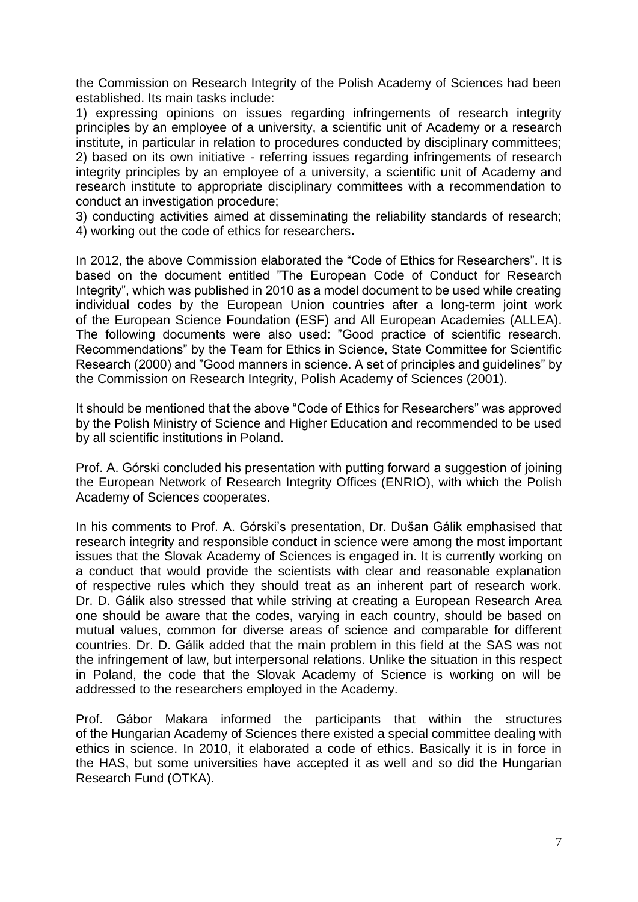the Commission on Research Integrity of the Polish Academy of Sciences had been established. Its main tasks include:

1) expressing opinions on issues regarding infringements of research integrity principles by an employee of a university, a scientific unit of Academy or a research institute, in particular in relation to procedures conducted by disciplinary committees; 2) based on its own initiative - referring issues regarding infringements of research integrity principles by an employee of a university, a scientific unit of Academy and research institute to appropriate disciplinary committees with a recommendation to conduct an investigation procedure;

3) conducting activities aimed at disseminating the reliability standards of research; 4) working out the code of ethics for researchers**.**

In 2012, the above Commission elaborated the "Code of Ethics for Researchers". It is based on the document entitled "The European Code of Conduct for Research Integrity", which was published in 2010 as a model document to be used while creating individual codes by the European Union countries after a long-term joint work of the European Science Foundation (ESF) and All European Academies (ALLEA). The following documents were also used: "Good practice of scientific research. Recommendations" by the Team for Ethics in Science, State Committee for Scientific Research (2000) and "Good manners in science. A set of principles and guidelines" by the Commission on Research Integrity, Polish Academy of Sciences (2001).

It should be mentioned that the above "Code of Ethics for Researchers" was approved by the Polish Ministry of Science and Higher Education and recommended to be used by all scientific institutions in Poland.

Prof. A. Górski concluded his presentation with putting forward a suggestion of joining the European Network of Research Integrity Offices (ENRIO), with which the Polish Academy of Sciences cooperates.

In his comments to Prof. A. Górski's presentation, Dr. Dušan Gálik emphasised that research integrity and responsible conduct in science were among the most important issues that the Slovak Academy of Sciences is engaged in. It is currently working on a conduct that would provide the scientists with clear and reasonable explanation of respective rules which they should treat as an inherent part of research work. Dr. D. Gálik also stressed that while striving at creating a European Research Area one should be aware that the codes, varying in each country, should be based on mutual values, common for diverse areas of science and comparable for different countries. Dr. D. Gálik added that the main problem in this field at the SAS was not the infringement of law, but interpersonal relations. Unlike the situation in this respect in Poland, the code that the Slovak Academy of Science is working on will be addressed to the researchers employed in the Academy.

Prof. Gábor Makara informed the participants that within the structures of the Hungarian Academy of Sciences there existed a special committee dealing with ethics in science. In 2010, it elaborated a code of ethics. Basically it is in force in the HAS, but some universities have accepted it as well and so did the Hungarian Research Fund (OTKA).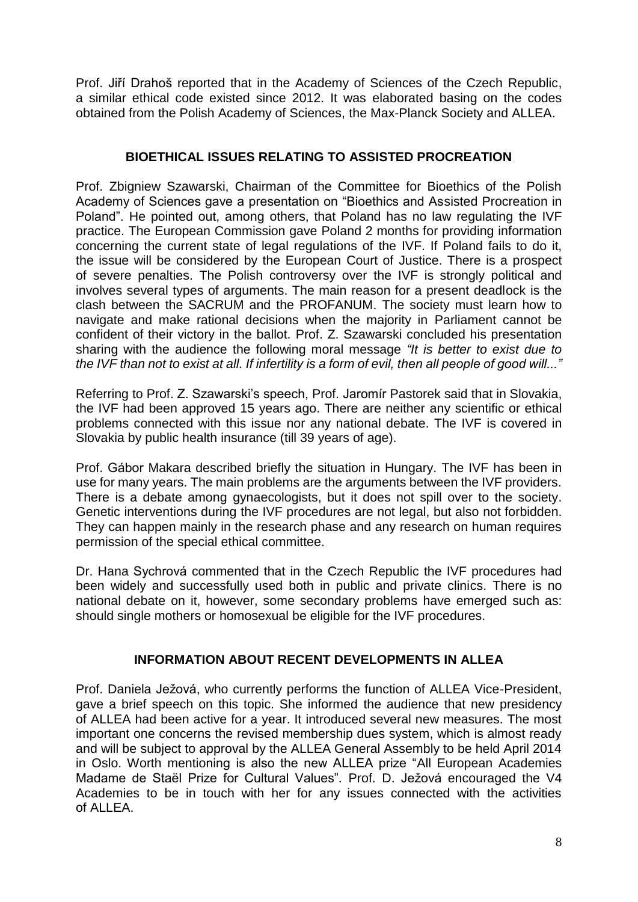Prof. Jiří Drahoš reported that in the Academy of Sciences of the Czech Republic, a similar ethical code existed since 2012. It was elaborated basing on the codes obtained from the Polish Academy of Sciences, the Max-Planck Society and ALLEA.

# **BIOETHICAL ISSUES RELATING TO ASSISTED PROCREATION**

Prof. Zbigniew Szawarski, Chairman of the Committee for Bioethics of the Polish Academy of Sciences gave a presentation on "Bioethics and Assisted Procreation in Poland". He pointed out, among others, that Poland has no law regulating the IVF practice. The European Commission gave Poland 2 months for providing information concerning the current state of legal regulations of the IVF. If Poland fails to do it, the issue will be considered by the European Court of Justice. There is a prospect of severe penalties. The Polish controversy over the IVF is strongly political and involves several types of arguments. The main reason for a present deadlock is the clash between the SACRUM and the PROFANUM. The society must learn how to navigate and make rational decisions when the majority in Parliament cannot be confident of their victory in the ballot. Prof. Z. Szawarski concluded his presentation sharing with the audience the following moral message *"It is better to exist due to the IVF than not to exist at all. If infertility is a form of evil, then all people of good will..."*

Referring to Prof. Z. Szawarski's speech, Prof. Jaromír Pastorek said that in Slovakia, the IVF had been approved 15 years ago. There are neither any scientific or ethical problems connected with this issue nor any national debate. The IVF is covered in Slovakia by public health insurance (till 39 years of age).

Prof. Gábor Makara described briefly the situation in Hungary. The IVF has been in use for many years. The main problems are the arguments between the IVF providers. There is a debate among gynaecologists, but it does not spill over to the society. Genetic interventions during the IVF procedures are not legal, but also not forbidden. They can happen mainly in the research phase and any research on human requires permission of the special ethical committee.

Dr. Hana Sychrová commented that in the Czech Republic the IVF procedures had been widely and successfully used both in public and private clinics. There is no national debate on it, however, some secondary problems have emerged such as: should single mothers or homosexual be eligible for the IVF procedures.

# **INFORMATION ABOUT RECENT DEVELOPMENTS IN ALLEA**

Prof. Daniela Ježová, who currently performs the function of ALLEA Vice-President, gave a brief speech on this topic. She informed the audience that new presidency of ALLEA had been active for a year. It introduced several new measures. The most important one concerns the revised membership dues system, which is almost ready and will be subject to approval by the ALLEA General Assembly to be held April 2014 in Oslo. Worth mentioning is also the new ALLEA prize "All European Academies Madame de Staël Prize for Cultural Values". Prof. D. Ježová encouraged the V4 Academies to be in touch with her for any issues connected with the activities of ALLEA.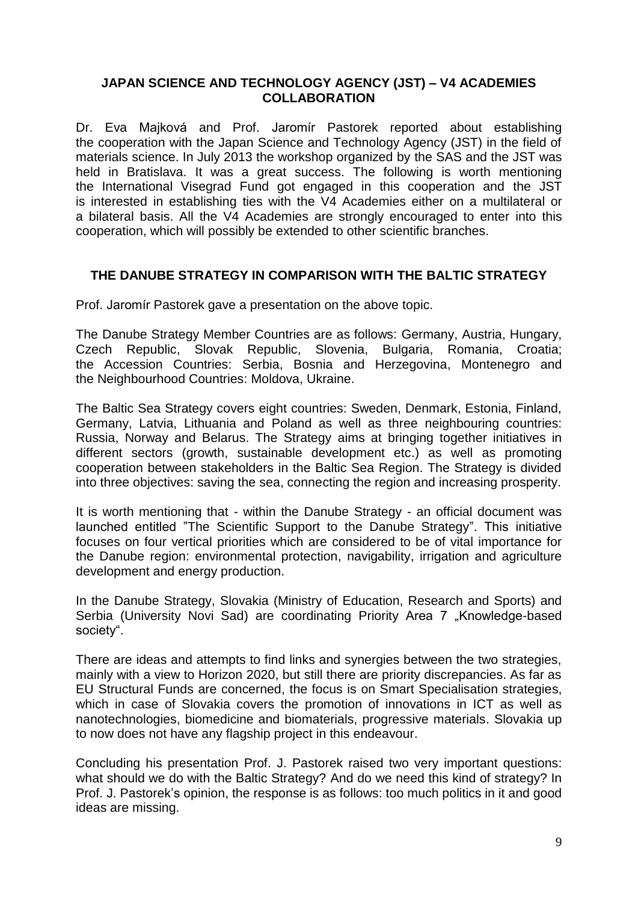#### **JAPAN SCIENCE AND TECHNOLOGY AGENCY (JST) – V4 ACADEMIES COLLABORATION**

Dr. Eva Majková and Prof. Jaromír Pastorek reported about establishing the cooperation with the Japan Science and Technology Agency (JST) in the field of materials science. In July 2013 the workshop organized by the SAS and the JST was held in Bratislava. It was a great success. The following is worth mentioning the International Visegrad Fund got engaged in this cooperation and the JST is interested in establishing ties with the V4 Academies either on a multilateral or a bilateral basis. All the V4 Academies are strongly encouraged to enter into this cooperation, which will possibly be extended to other scientific branches.

#### **THE DANUBE STRATEGY IN COMPARISON WITH THE BALTIC STRATEGY**

Prof. Jaromír Pastorek gave a presentation on the above topic.

The Danube Strategy Member Countries are as follows: Germany, Austria, Hungary, Czech Republic, Slovak Republic, Slovenia, Bulgaria, Romania, Croatia; the Accession Countries: Serbia, Bosnia and Herzegovina, Montenegro and the Neighbourhood Countries: Moldova, Ukraine.

The Baltic Sea Strategy covers eight countries: Sweden, Denmark, Estonia, Finland, Germany, Latvia, Lithuania and Poland as well as three neighbouring countries: Russia, Norway and Belarus. The Strategy aims at bringing together initiatives in different sectors (growth, sustainable development etc.) as well as promoting cooperation between stakeholders in the Baltic Sea Region. The Strategy is divided into three objectives: saving the sea, connecting the region and increasing prosperity.

It is worth mentioning that - within the Danube Strategy - an official document was launched entitled "The Scientific Support to the Danube Strategy". This initiative focuses on four vertical priorities which are considered to be of vital importance for the Danube region: environmental protection, navigability, irrigation and agriculture development and energy production.

In the Danube Strategy, Slovakia (Ministry of Education, Research and Sports) and Serbia (University Novi Sad) are coordinating Priority Area 7 "Knowledge-based society".

There are ideas and attempts to find links and synergies between the two strategies, mainly with a view to Horizon 2020, but still there are priority discrepancies. As far as EU Structural Funds are concerned, the focus is on Smart Specialisation strategies, which in case of Slovakia covers the promotion of innovations in ICT as well as nanotechnologies, biomedicine and biomaterials, progressive materials. Slovakia up to now does not have any flagship project in this endeavour.

Concluding his presentation Prof. J. Pastorek raised two very important questions: what should we do with the Baltic Strategy? And do we need this kind of strategy? In Prof. J. Pastorek's opinion, the response is as follows: too much politics in it and good ideas are missing.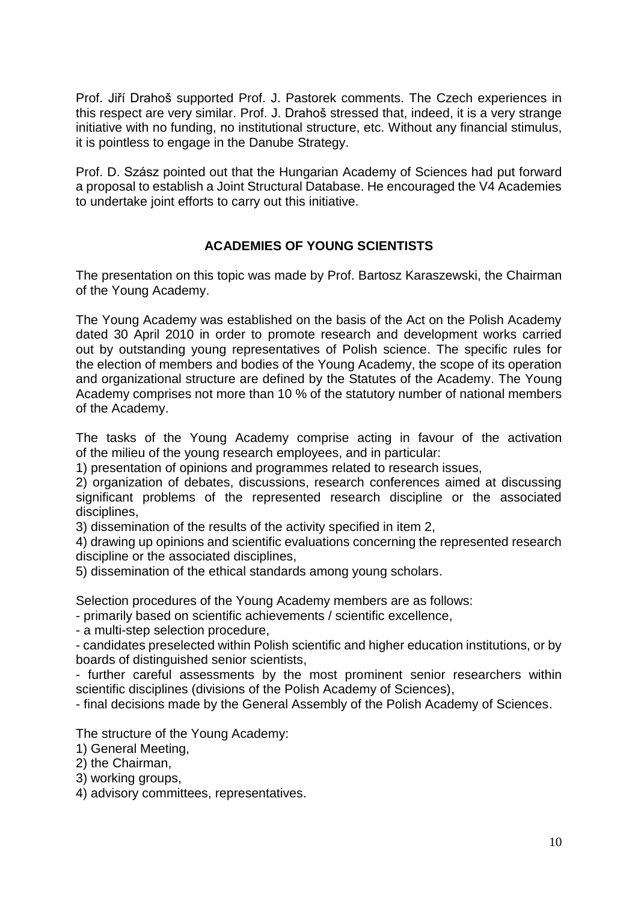Prof. Jiří Drahoš supported Prof. J. Pastorek comments. The Czech experiences in this respect are very similar. Prof. J. Drahoš stressed that, indeed, it is a very strange initiative with no funding, no institutional structure, etc. Without any financial stimulus, it is pointless to engage in the Danube Strategy.

Prof. D. Szász pointed out that the Hungarian Academy of Sciences had put forward a proposal to establish a Joint Structural Database. He encouraged the V4 Academies to undertake joint efforts to carry out this initiative.

# **ACADEMIES OF YOUNG SCIENTISTS**

The presentation on this topic was made by Prof. Bartosz Karaszewski, the Chairman of the Young Academy.

The Young Academy was established on the basis of the Act on the Polish Academy dated 30 April 2010 in order to promote research and development works carried out by outstanding young representatives of Polish science. The specific rules for the election of members and bodies of the Young Academy, the scope of its operation and organizational structure are defined by the Statutes of the Academy. The Young Academy comprises not more than 10 % of the statutory number of national members of the Academy.

The tasks of the Young Academy comprise acting in favour of the activation of the milieu of the young research employees, and in particular:

1) presentation of opinions and programmes related to research issues,

2) organization of debates, discussions, research conferences aimed at discussing significant problems of the represented research discipline or the associated disciplines,

3) dissemination of the results of the activity specified in item 2,

4) drawing up opinions and scientific evaluations concerning the represented research discipline or the associated disciplines,

5) dissemination of the ethical standards among young scholars.

Selection procedures of the Young Academy members are as follows:

- primarily based on scientific achievements / scientific excellence,

- a multi-step selection procedure,

- candidates preselected within Polish scientific and higher education institutions, or by boards of distinguished senior scientists,

- further careful assessments by the most prominent senior researchers within scientific disciplines (divisions of the Polish Academy of Sciences),

- final decisions made by the General Assembly of the Polish Academy of Sciences.

The structure of the Young Academy:

1) General Meeting,

2) the Chairman,

3) working groups,

4) advisory committees, representatives.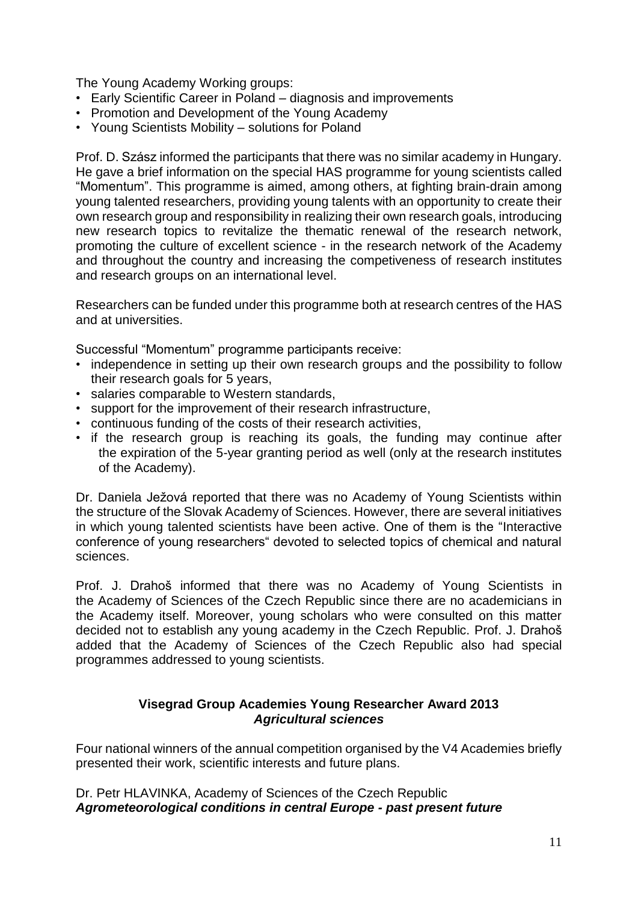The Young Academy Working groups:

- Early Scientific Career in Poland diagnosis and improvements
- Promotion and Development of the Young Academy
- Young Scientists Mobility solutions for Poland

Prof. D. Szász informed the participants that there was no similar academy in Hungary. He gave a brief information on the special HAS programme for young scientists called "Momentum". This programme is aimed, among others, at fighting brain-drain among young talented researchers, providing young talents with an opportunity to create their own research group and responsibility in realizing their own research goals, introducing new research topics to revitalize the thematic renewal of the research network, promoting the culture of excellent science - in the research network of the Academy and throughout the country and increasing the competiveness of research institutes and research groups on an international level.

Researchers can be funded under this programme both at research centres of the HAS and at universities.

Successful "Momentum" programme participants receive:

- independence in setting up their own research groups and the possibility to follow their research goals for 5 years,
- salaries comparable to Western standards,
- support for the improvement of their research infrastructure,
- continuous funding of the costs of their research activities,
- if the research group is reaching its goals, the funding may continue after the expiration of the 5-year granting period as well (only at the research institutes of the Academy).

Dr. Daniela Ježová reported that there was no Academy of Young Scientists within the structure of the Slovak Academy of Sciences. However, there are several initiatives in which young talented scientists have been active. One of them is the "Interactive conference of young researchers" devoted to selected topics of chemical and natural sciences.

Prof. J. Drahoš informed that there was no Academy of Young Scientists in the Academy of Sciences of the Czech Republic since there are no academicians in the Academy itself. Moreover, young scholars who were consulted on this matter decided not to establish any young academy in the Czech Republic. Prof. J. Drahoš added that the Academy of Sciences of the Czech Republic also had special programmes addressed to young scientists.

#### **Visegrad Group Academies Young Researcher Award 2013** *Agricultural sciences*

Four national winners of the annual competition organised by the V4 Academies briefly presented their work, scientific interests and future plans.

#### Dr. Petr HLAVINKA, Academy of Sciences of the Czech Republic *Agrometeorological conditions in central Europe - past present future*